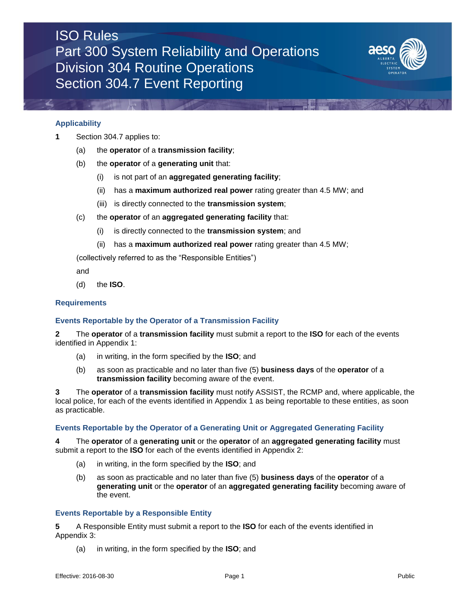

#### **Applicability**

- **1** Section 304.7 applies to:
	- (a) the **operator** of a **transmission facility**;
	- (b) the **operator** of a **generating unit** that:
		- (i) is not part of an **aggregated generating facility**;
		- (ii) has a **maximum authorized real power** rating greater than 4.5 MW; and
		- (iii) is directly connected to the **transmission system**;
	- (c) the **operator** of an **aggregated generating facility** that:
		- (i) is directly connected to the **transmission system**; and
		- (ii) has a **maximum authorized real power** rating greater than 4.5 MW;

(collectively referred to as the "Responsible Entities")

and

(d) the **ISO**.

#### **Requirements**

#### **Events Reportable by the Operator of a Transmission Facility**

**2** The **operator** of a **transmission facility** must submit a report to the **ISO** for each of the events identified in Appendix 1:

- (a) in writing, in the form specified by the **ISO**; and
- (b) as soon as practicable and no later than five (5) **business days** of the **operator** of a **transmission facility** becoming aware of the event.

**3** The **operator** of a **transmission facility** must notify ASSIST, the RCMP and, where applicable, the local police, for each of the events identified in Appendix 1 as being reportable to these entities, as soon as practicable.

#### **Events Reportable by the Operator of a Generating Unit or Aggregated Generating Facility**

**4** The **operator** of a **generating unit** or the **operator** of an **aggregated generating facility** must submit a report to the **ISO** for each of the events identified in Appendix 2:

- (a) in writing, in the form specified by the **ISO**; and
- (b) as soon as practicable and no later than five (5) **business days** of the **operator** of a **generating unit** or the **operator** of an **aggregated generating facility** becoming aware of the event.

#### **Events Reportable by a Responsible Entity**

**5** A Responsible Entity must submit a report to the **ISO** for each of the events identified in Appendix 3:

(a) in writing, in the form specified by the **ISO**; and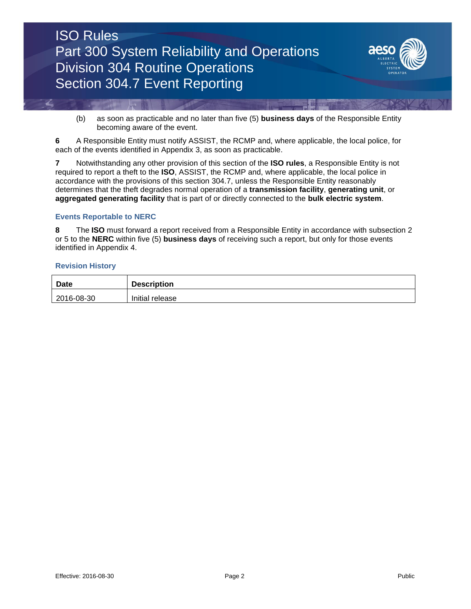

(b) as soon as practicable and no later than five (5) **business days** of the Responsible Entity becoming aware of the event.

**6** A Responsible Entity must notify ASSIST, the RCMP and, where applicable, the local police, for each of the events identified in Appendix 3, as soon as practicable.

**7** Notwithstanding any other provision of this section of the **ISO rules**, a Responsible Entity is not required to report a theft to the **ISO**, ASSIST, the RCMP and, where applicable, the local police in accordance with the provisions of this section 304.7, unless the Responsible Entity reasonably determines that the theft degrades normal operation of a **transmission facility**, **generating unit**, or **aggregated generating facility** that is part of or directly connected to the **bulk electric system**.

#### **Events Reportable to NERC**

**8** The **ISO** must forward a report received from a Responsible Entity in accordance with subsection 2 or 5 to the **NERC** within five (5) **business days** of receiving such a report, but only for those events identified in Appendix 4.

#### **Revision History**

| <b>Date</b> | <b>Description</b> |
|-------------|--------------------|
| 2016-08-30  | Initial release    |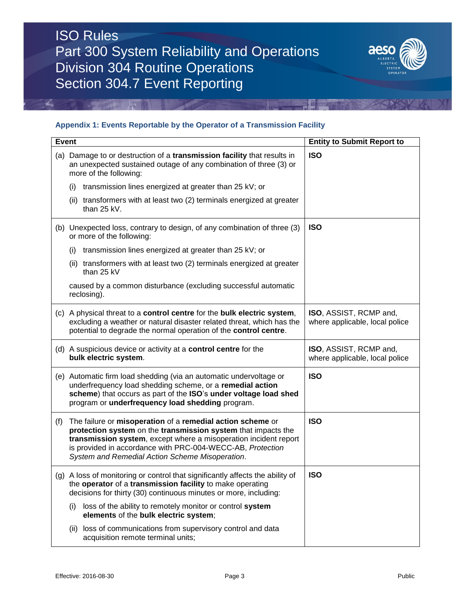

### **Appendix 1: Events Reportable by the Operator of a Transmission Facility**

|     | <b>Event</b>                                                                                                                                                                                                                                                                                                     | <b>Entity to Submit Report to</b>                               |
|-----|------------------------------------------------------------------------------------------------------------------------------------------------------------------------------------------------------------------------------------------------------------------------------------------------------------------|-----------------------------------------------------------------|
|     | (a) Damage to or destruction of a transmission facility that results in<br>an unexpected sustained outage of any combination of three (3) or<br>more of the following:                                                                                                                                           | <b>ISO</b>                                                      |
|     | transmission lines energized at greater than 25 kV; or<br>(i)                                                                                                                                                                                                                                                    |                                                                 |
|     | (ii) transformers with at least two (2) terminals energized at greater<br>than 25 kV.                                                                                                                                                                                                                            |                                                                 |
|     | (b) Unexpected loss, contrary to design, of any combination of three (3)<br>or more of the following:                                                                                                                                                                                                            | <b>ISO</b>                                                      |
|     | transmission lines energized at greater than 25 kV; or<br>(i)                                                                                                                                                                                                                                                    |                                                                 |
|     | (ii) transformers with at least two (2) terminals energized at greater<br>than 25 kV                                                                                                                                                                                                                             |                                                                 |
|     | caused by a common disturbance (excluding successful automatic<br>reclosing).                                                                                                                                                                                                                                    |                                                                 |
|     | (c) A physical threat to a control centre for the bulk electric system,<br>excluding a weather or natural disaster related threat, which has the<br>potential to degrade the normal operation of the control centre.                                                                                             | <b>ISO, ASSIST, RCMP and,</b><br>where applicable, local police |
|     | (d) A suspicious device or activity at a <b>control centre</b> for the<br>bulk electric system.                                                                                                                                                                                                                  | ISO, ASSIST, RCMP and,<br>where applicable, local police        |
|     | (e) Automatic firm load shedding (via an automatic undervoltage or<br>underfrequency load shedding scheme, or a remedial action<br>scheme) that occurs as part of the ISO's under voltage load shed<br>program or underfrequency load shedding program.                                                          | <b>ISO</b>                                                      |
| (f) | The failure or misoperation of a remedial action scheme or<br>protection system on the transmission system that impacts the<br>transmission system, except where a misoperation incident report<br>is provided in accordance with PRC-004-WECC-AB, Protection<br>System and Remedial Action Scheme Misoperation. | <b>ISO</b>                                                      |
|     | (g) A loss of monitoring or control that significantly affects the ability of<br>the operator of a transmission facility to make operating<br>decisions for thirty (30) continuous minutes or more, including:                                                                                                   | <b>ISO</b>                                                      |
|     | loss of the ability to remotely monitor or control system<br>(i)<br>elements of the bulk electric system;                                                                                                                                                                                                        |                                                                 |
|     | loss of communications from supervisory control and data<br>(ii)<br>acquisition remote terminal units;                                                                                                                                                                                                           |                                                                 |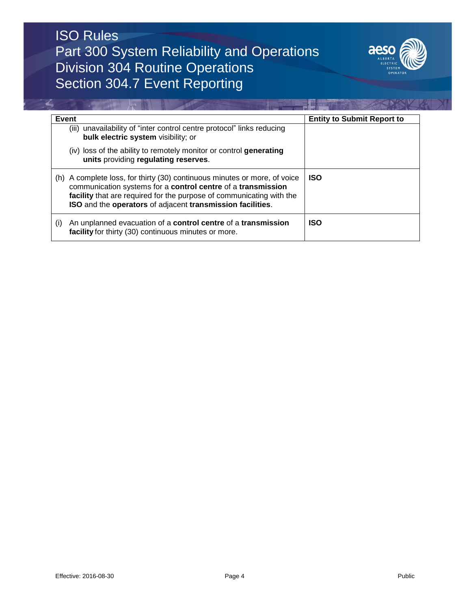

| Event                                                                                                                                                                                                                                                                              | <b>Entity to Submit Report to</b> |
|------------------------------------------------------------------------------------------------------------------------------------------------------------------------------------------------------------------------------------------------------------------------------------|-----------------------------------|
| (iii) unavailability of "inter control centre protocol" links reducing<br>bulk electric system visibility; or                                                                                                                                                                      |                                   |
| (iv) loss of the ability to remotely monitor or control generating<br>units providing regulating reserves.                                                                                                                                                                         |                                   |
| A complete loss, for thirty (30) continuous minutes or more, of voice<br>(h)<br>communication systems for a control centre of a transmission<br>facility that are required for the purpose of communicating with the<br>ISO and the operators of adjacent transmission facilities. | <b>ISO</b>                        |
| An unplanned evacuation of a <b>control centre</b> of a <b>transmission</b><br>(i)<br>facility for thirty (30) continuous minutes or more.                                                                                                                                         | <b>ISO</b>                        |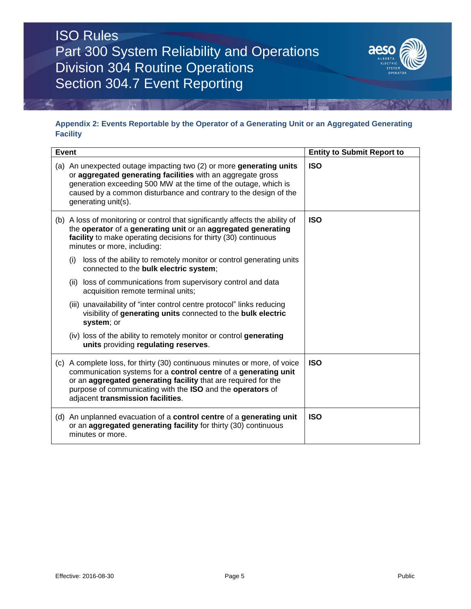

### **Appendix 2: Events Reportable by the Operator of a Generating Unit or an Aggregated Generating Facility**

| <b>Event</b> |                                                                                                                                                                                                                                                                                                                   | <b>Entity to Submit Report to</b> |
|--------------|-------------------------------------------------------------------------------------------------------------------------------------------------------------------------------------------------------------------------------------------------------------------------------------------------------------------|-----------------------------------|
|              | (a) An unexpected outage impacting two (2) or more generating units<br>or aggregated generating facilities with an aggregate gross<br>generation exceeding 500 MW at the time of the outage, which is<br>caused by a common disturbance and contrary to the design of the<br>generating unit(s).                  | <b>ISO</b>                        |
|              | (b) A loss of monitoring or control that significantly affects the ability of<br>the operator of a generating unit or an aggregated generating<br>facility to make operating decisions for thirty (30) continuous<br>minutes or more, including:                                                                  | <b>ISO</b>                        |
|              | loss of the ability to remotely monitor or control generating units<br>(i)<br>connected to the bulk electric system;                                                                                                                                                                                              |                                   |
|              | (ii) loss of communications from supervisory control and data<br>acquisition remote terminal units;                                                                                                                                                                                                               |                                   |
|              | (iii) unavailability of "inter control centre protocol" links reducing<br>visibility of generating units connected to the bulk electric<br>system; or                                                                                                                                                             |                                   |
|              | (iv) loss of the ability to remotely monitor or control generating<br>units providing regulating reserves.                                                                                                                                                                                                        |                                   |
|              | (c) A complete loss, for thirty (30) continuous minutes or more, of voice<br>communication systems for a control centre of a generating unit<br>or an aggregated generating facility that are required for the<br>purpose of communicating with the ISO and the operators of<br>adjacent transmission facilities. | <b>ISO</b>                        |
|              | (d) An unplanned evacuation of a control centre of a generating unit<br>or an aggregated generating facility for thirty (30) continuous<br>minutes or more.                                                                                                                                                       | <b>ISO</b>                        |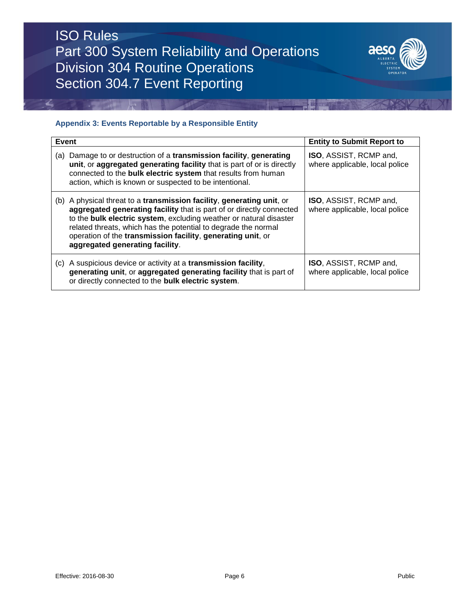

### **Appendix 3: Events Reportable by a Responsible Entity**

| Event                                                                                                                                                                                                                                                                                                                                                                                   | <b>Entity to Submit Report to</b>                               |
|-----------------------------------------------------------------------------------------------------------------------------------------------------------------------------------------------------------------------------------------------------------------------------------------------------------------------------------------------------------------------------------------|-----------------------------------------------------------------|
| Damage to or destruction of a transmission facility, generating<br>(a)<br>unit, or aggregated generating facility that is part of or is directly<br>connected to the bulk electric system that results from human<br>action, which is known or suspected to be intentional.                                                                                                             | ISO, ASSIST, RCMP and,<br>where applicable, local police        |
| (b) A physical threat to a transmission facility, generating unit, or<br>aggregated generating facility that is part of or directly connected<br>to the bulk electric system, excluding weather or natural disaster<br>related threats, which has the potential to degrade the normal<br>operation of the transmission facility, generating unit, or<br>aggregated generating facility. | ISO, ASSIST, RCMP and,<br>where applicable, local police        |
| (c) A suspicious device or activity at a <b>transmission facility</b> ,<br>generating unit, or aggregated generating facility that is part of<br>or directly connected to the bulk electric system.                                                                                                                                                                                     | <b>ISO, ASSIST, RCMP and,</b><br>where applicable, local police |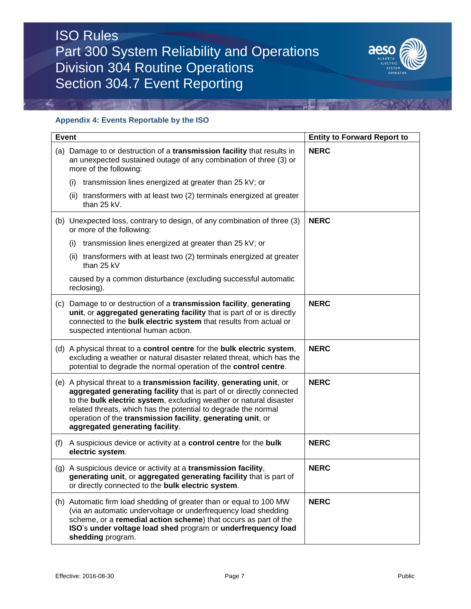

### **Appendix 4: Events Reportable by the ISO**

| <b>Event</b> |                                                                                                                                                                                                                                                                                                                                                                                         | <b>Entity to Forward Report to</b> |
|--------------|-----------------------------------------------------------------------------------------------------------------------------------------------------------------------------------------------------------------------------------------------------------------------------------------------------------------------------------------------------------------------------------------|------------------------------------|
|              | (a) Damage to or destruction of a transmission facility that results in<br>an unexpected sustained outage of any combination of three (3) or<br>more of the following:                                                                                                                                                                                                                  | <b>NERC</b>                        |
|              | transmission lines energized at greater than 25 kV; or<br>(i)                                                                                                                                                                                                                                                                                                                           |                                    |
|              | (ii) transformers with at least two (2) terminals energized at greater<br>than 25 kV.                                                                                                                                                                                                                                                                                                   |                                    |
|              | (b) Unexpected loss, contrary to design, of any combination of three (3)<br>or more of the following:                                                                                                                                                                                                                                                                                   | <b>NERC</b>                        |
|              | transmission lines energized at greater than 25 kV; or<br>(i)                                                                                                                                                                                                                                                                                                                           |                                    |
|              | (ii) transformers with at least two (2) terminals energized at greater<br>than 25 kV                                                                                                                                                                                                                                                                                                    |                                    |
|              | caused by a common disturbance (excluding successful automatic<br>reclosing).                                                                                                                                                                                                                                                                                                           |                                    |
|              | (c) Damage to or destruction of a transmission facility, generating<br>unit, or aggregated generating facility that is part of or is directly<br>connected to the bulk electric system that results from actual or<br>suspected intentional human action.                                                                                                                               | <b>NERC</b>                        |
|              | (d) A physical threat to a control centre for the bulk electric system,<br>excluding a weather or natural disaster related threat, which has the<br>potential to degrade the normal operation of the control centre.                                                                                                                                                                    | <b>NERC</b>                        |
|              | (e) A physical threat to a transmission facility, generating unit, or<br>aggregated generating facility that is part of or directly connected<br>to the bulk electric system, excluding weather or natural disaster<br>related threats, which has the potential to degrade the normal<br>operation of the transmission facility, generating unit, or<br>aggregated generating facility. | <b>NERC</b>                        |
| (f)          | A suspicious device or activity at a control centre for the bulk<br>electric system.                                                                                                                                                                                                                                                                                                    | <b>NERC</b>                        |
|              | (g) A suspicious device or activity at a transmission facility,<br>generating unit, or aggregated generating facility that is part of<br>or directly connected to the bulk electric system.                                                                                                                                                                                             | <b>NERC</b>                        |
|              | (h) Automatic firm load shedding of greater than or equal to 100 MW<br>(via an automatic undervoltage or underfrequency load shedding<br>scheme, or a remedial action scheme) that occurs as part of the<br>ISO's under voltage load shed program or underfrequency load<br>shedding program.                                                                                           | <b>NERC</b>                        |